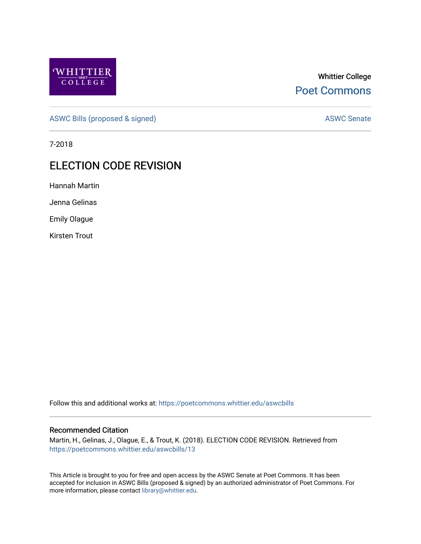

## Whittier College [Poet Commons](https://poetcommons.whittier.edu/)

[ASWC Bills \(proposed & signed\)](https://poetcommons.whittier.edu/aswcbills) ASWC Senate

7-2018

## ELECTION CODE REVISION

Hannah Martin

Jenna Gelinas

Emily Olague

Kirsten Trout

Follow this and additional works at: [https://poetcommons.whittier.edu/aswcbills](https://poetcommons.whittier.edu/aswcbills?utm_source=poetcommons.whittier.edu%2Faswcbills%2F13&utm_medium=PDF&utm_campaign=PDFCoverPages) 

## Recommended Citation

Martin, H., Gelinas, J., Olague, E., & Trout, K. (2018). ELECTION CODE REVISION. Retrieved from [https://poetcommons.whittier.edu/aswcbills/13](https://poetcommons.whittier.edu/aswcbills/13?utm_source=poetcommons.whittier.edu%2Faswcbills%2F13&utm_medium=PDF&utm_campaign=PDFCoverPages)

This Article is brought to you for free and open access by the ASWC Senate at Poet Commons. It has been accepted for inclusion in ASWC Bills (proposed & signed) by an authorized administrator of Poet Commons. For more information, please contact [library@whittier.edu.](mailto:library@whittier.edu)